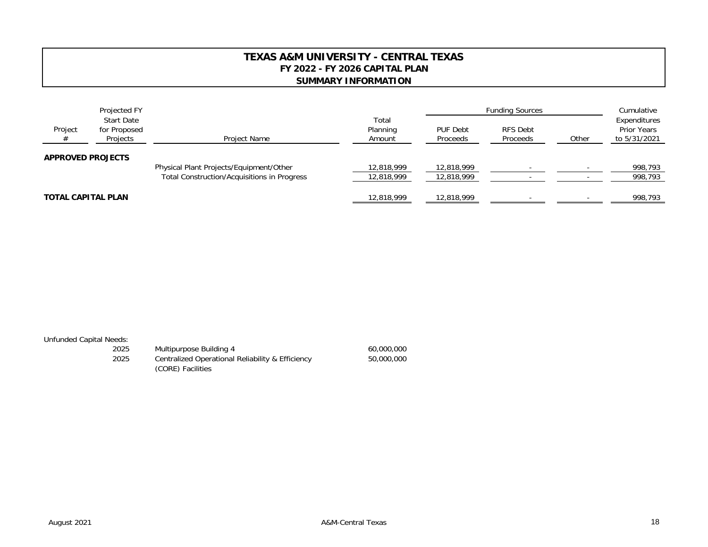## **TEXAS A&M UNIVERSITY - CENTRAL TEXASFY 2022 - FY 2026 CAPITAL PLAN SUMMARY INFORMATION**

|                          | Projected FY                                  |                                                    | Total<br>Planning<br>Amount | <b>Funding Sources</b> |                      |       | Cumulative                                         |
|--------------------------|-----------------------------------------------|----------------------------------------------------|-----------------------------|------------------------|----------------------|-------|----------------------------------------------------|
| Project<br>#             | <b>Start Date</b><br>for Proposed<br>Projects | Project Name                                       |                             | PUF Debt<br>Proceeds   | RFS Debt<br>Proceeds | Other | Expenditures<br><b>Prior Years</b><br>to 5/31/2021 |
| <b>APPROVED PROJECTS</b> |                                               | Physical Plant Projects/Equipment/Other            | 12,818,999                  | 12,818,999             |                      |       | 998,793                                            |
|                          |                                               | <b>Total Construction/Acquisitions in Progress</b> | 12,818,999                  | 12,818,999             |                      |       | 998,793                                            |
| TOTAL CAPITAL PLAN       |                                               |                                                    | 12,818,999                  | 12,818,999             |                      |       | 998,793                                            |

## Unfunded Capital Needs:

| 2025 | Multipurpose Building 4                          | 60,000,000 |
|------|--------------------------------------------------|------------|
| 2025 | Centralized Operational Reliability & Efficiency | 50,000,000 |
|      | (CORE) Facilities                                |            |